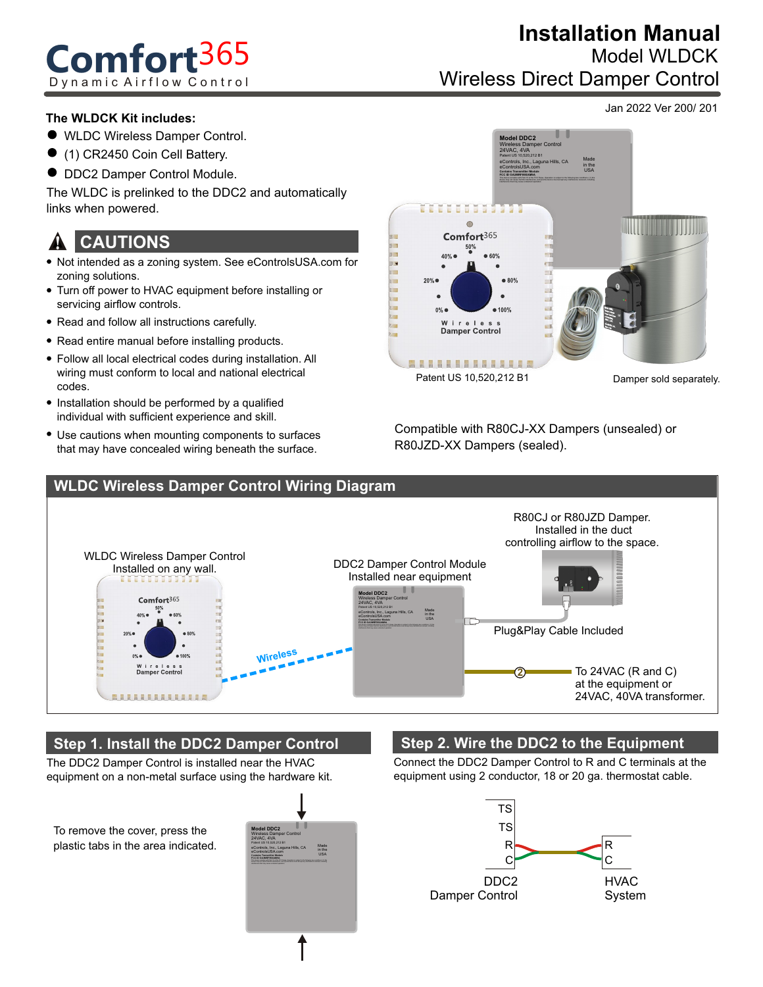# **Comfort**365 Dynamic Airflow Control

## Wireless Direct Damper Control **Installation Manual** Model WLDCK

Jan 2022 Ver 200/ 201

#### **The WLDCK Kit includes:**

- WLDC Wireless Damper Control.
- (1) CR2450 Coin Cell Battery.
- $\bullet$  DDC2 Damper Control Module.

The WLDC is prelinked to the DDC2 and automatically links when powered.

#### **CAUTIONS** !

- Not intended as a zoning system. See eControlsUSA.com for zoning solutions.
- Turn off power to HVAC equipment before installing or servicing airflow controls.
- Read and follow all instructions carefully.
- Read entire manual before installing products.
- Follow all local electrical codes during installation. All wiring must conform to local and national electrical codes.
- Installation should be performed by a qualified individual with sufficient experience and skill.
- Use cautions when mounting components to surfaces that may have concealed wiring beneath the surface.



Compatible with R80CJ-XX Dampers (unsealed) or R80JZD-XX Dampers (sealed).



### **Step 1. Install the DDC2 Damper Control**

The DDC2 Damper Control is installed near the HVAC equipment on a non-metal surface using the hardware kit.

To remove the cover, press the plastic tabs in the area indicated.



#### **Step 2. Wire the DDC2 to the Equipment**

Connect the DDC2 Damper Control to R and C terminals at the equipment using 2 conductor, 18 or 20 ga. thermostat cable.

![](_page_0_Figure_25.jpeg)